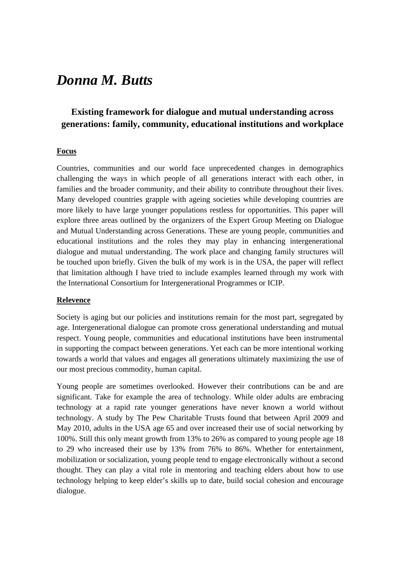# *Donna M. Butts*

# **Existing framework for dialogue and mutual understanding across generations: family, community, educational institutions and workplace**

#### **Focus**

Countries, communities and our world face unprecedented changes in demographics challenging the ways in which people of all generations interact with each other, in families and the broader community, and their ability to contribute throughout their lives. Many developed countries grapple with ageing societies while developing countries are more likely to have large younger populations restless for opportunities. This paper will explore three areas outlined by the organizers of the Expert Group Meeting on Dialogue and Mutual Understanding across Generations. These are young people, communities and educational institutions and the roles they may play in enhancing intergenerational dialogue and mutual understanding. The work place and changing family structures will be touched upon briefly. Given the bulk of my work is in the USA, the paper will reflect that limitation although I have tried to include examples learned through my work with the International Consortium for Intergenerational Programmes or ICIP.

#### **Relevence**

Society is aging but our policies and institutions remain for the most part, segregated by age. Intergenerational dialogue can promote cross generational understanding and mutual respect. Young people, communities and educational institutions have been instrumental in supporting the compact between generations. Yet each can be more intentional working towards a world that values and engages all generations ultimately maximizing the use of our most precious commodity, human capital.

Young people are sometimes overlooked. However their contributions can be and are significant. Take for example the area of technology. While older adults are embracing technology at a rapid rate younger generations have never known a world without technology. A study by The Pew Charitable Trusts found that between April 2009 and May 2010, adults in the USA age 65 and over increased their use of social networking by 100%. Still this only meant growth from 13% to 26% as compared to young people age 18 to 29 who increased their use by 13% from 76% to 86%. Whether for entertainment, mobilization or socialization, young people tend to engage electronically without a second thought. They can play a vital role in mentoring and teaching elders about how to use technology helping to keep elder's skills up to date, build social cohesion and encourage dialogue.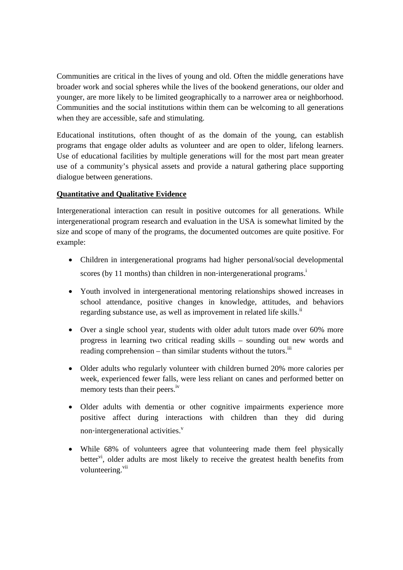Communities are critical in the lives of young and old. Often the middle generations have broader work and social spheres while the lives of the bookend generations, our older and younger, are more likely to be limited geographically to a narrower area or neighborhood. Communities and the social institutions within them can be welcoming to all generations when they are accessible, safe and stimulating.

Educational institutions, often thought of as the domain of the young, can establish programs that engage older adults as volunteer and are open to older, lifelong learners. Use of educational facilities by multiple generations will for the most part mean greater use of a community's physical assets and provide a natural gathering place supporting dialogue between generations.

# **Quantitative and Qualitative Evidence**

Intergenerational interaction can result in positive outcomes for all generations. While intergenerational program research and evaluation in the USA is somewhat limited by the size and scope of many of the programs, the documented outcomes are quite positive. For example:

- Children in intergenerational programs had higher personal/social developmental scores (by 11 months) than children in non-intergenerational programs.<sup>i</sup>
- Youth involved in intergenerational mentoring relationships showed increases in school attendance, positive changes in knowledge, attitudes, and behaviors regarding substance use, as well as improvement in related life skills.<sup>ii</sup>
- Over a single school year, students with older adult tutors made over 60% more progress in learning two critical reading skills – sounding out new words and reading comprehension – than similar students without the tutors. $iii$
- Older adults who regularly volunteer with children burned 20% more calories per week, experienced fewer falls, were less reliant on canes and performed better on memory tests than their peers.<sup>iv</sup>
- Older adults with dementia or other cognitive impairments experience more positive affect during interactions with children than they did during non-intergenerational activities.<sup>v</sup>
- While 68% of volunteers agree that volunteering made them feel physically better<sup>vi</sup>, older adults are most likely to receive the greatest health benefits from volunteering.<sup>vii</sup>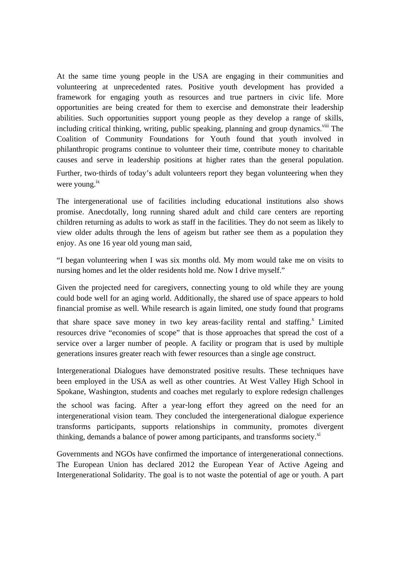At the same time young people in the USA are engaging in their communities and volunteering at unprecedented rates. Positive youth development has provided a framework for engaging youth as resources and true partners in civic life. More opportunities are being created for them to exercise and demonstrate their leadership abilities. Such opportunities support young people as they develop a range of skills, including critical thinking, writing, public speaking, planning and group dynamics.<sup>viii</sup> The Coalition of Community Foundations for Youth found that youth involved in philanthropic programs continue to volunteer their time, contribute money to charitable causes and serve in leadership positions at higher rates than the general population. Further, two-thirds of today's adult volunteers report they began volunteering when they were young.<sup>ix</sup>

The intergenerational use of facilities including educational institutions also shows promise. Anecdotally, long running shared adult and child care centers are reporting children returning as adults to work as staff in the facilities. They do not seem as likely to view older adults through the lens of ageism but rather see them as a population they enjoy. As one 16 year old young man said,

"I began volunteering when I was six months old. My mom would take me on visits to nursing homes and let the older residents hold me. Now I drive myself."

Given the projected need for caregivers, connecting young to old while they are young could bode well for an aging world. Additionally, the shared use of space appears to hold financial promise as well. While research is again limited, one study found that programs that share space save money in two key areas-facility rental and staffing.<sup>x</sup> Limited resources drive "economies of scope" that is those approaches that spread the cost of a service over a larger number of people. A facility or program that is used by multiple generations insures greater reach with fewer resources than a single age construct.

Intergenerational Dialogues have demonstrated positive results. These techniques have been employed in the USA as well as other countries. At West Valley High School in Spokane, Washington, students and coaches met regularly to explore redesign challenges the school was facing. After a year‐long effort they agreed on the need for an intergenerational vision team. They concluded the intergenerational dialogue experience transforms participants, supports relationships in community, promotes divergent thinking, demands a balance of power among participants, and transforms society.<sup>xi</sup>

Governments and NGOs have confirmed the importance of intergenerational connections. The European Union has declared 2012 the European Year of Active Ageing and Intergenerational Solidarity. The goal is to not waste the potential of age or youth. A part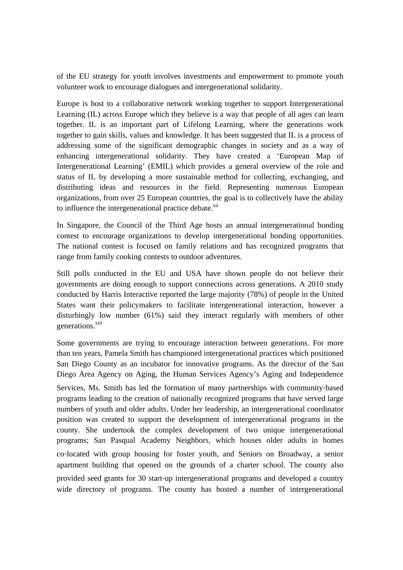of the EU strategy for youth involves investments and empowerment to promote youth volunteer work to encourage dialogues and intergenerational solidarity.

Europe is host to a collaborative network working together to support Intergenerational Learning (IL) across Europe which they believe is a way that people of all ages can learn together. IL is an important part of Lifelong Learning, where the generations work together to gain skills, values and knowledge. It has been suggested that IL is a process of addressing some of the significant demographic changes in society and as a way of enhancing intergenerational solidarity. They have created a 'European Map of Intergenerational Learning' (EMIL) which provides a general overview of the role and status of IL by developing a more sustainable method for collecting, exchanging, and distributing ideas and resources in the field. Representing numerous European organizations, from over 25 European countries, the goal is to collectively have the ability to influence the intergenerational practice debate.<sup>xii</sup>

In Singapore, the Council of the Third Age hosts an annual intergenerational bonding contest to encourage organizations to develop intergenerational bonding opportunities. The national contest is focused on family relations and has recognized programs that range from family cooking contests to outdoor adventures.

Still polls conducted in the EU and USA have shown people do not believe their governments are doing enough to support connections across generations. A 2010 study conducted by Harris Interactive reported the large majority (78%) of people in the United States want their policymakers to facilitate intergenerational interaction, however a disturbingly low number (61%) said they interact regularly with members of other generations.<sup>xiii</sup>

Some governments are trying to encourage interaction between generations. For more than ten years, Pamela Smith has championed intergenerational practices which positioned San Diego County as an incubator for innovative programs. As the director of the San Diego Area Agency on Aging, the Human Services Agency's Aging and Independence

Services, Ms. Smith has led the formation of many partnerships with community-based programs leading to the creation of nationally recognized programs that have served large numbers of youth and older adults. Under her leadership, an intergenerational coordinator position was created to support the development of intergenerational programs in the county. She undertook the complex development of two unique intergenerational programs; San Pasqual Academy Neighbors, which houses older adults in homes co‐located with group housing for foster youth, and Seniors on Broadway, a senior apartment building that opened on the grounds of a charter school. The county also provided seed grants for 30 start‐up intergenerational programs and developed a country wide directory of programs. The county has hosted a number of intergenerational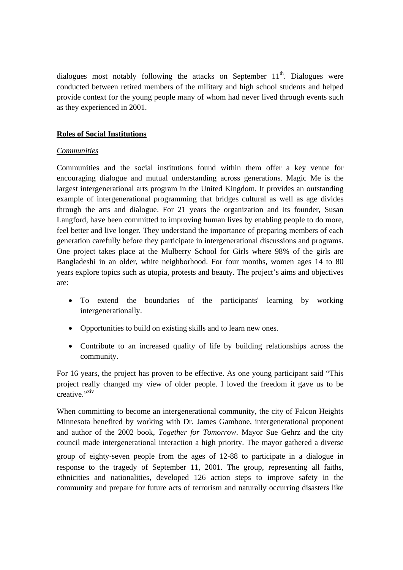dialogues most notably following the attacks on September  $11<sup>th</sup>$ . Dialogues were conducted between retired members of the military and high school students and helped provide context for the young people many of whom had never lived through events such as they experienced in 2001.

# **Roles of Social Institutions**

# *Communities*

Communities and the social institutions found within them offer a key venue for encouraging dialogue and mutual understanding across generations. Magic Me is the largest intergenerational arts program in the United Kingdom. It provides an outstanding example of intergenerational programming that bridges cultural as well as age divides through the arts and dialogue. For 21 years the organization and its founder, Susan Langford, have been committed to improving human lives by enabling people to do more, feel better and live longer. They understand the importance of preparing members of each generation carefully before they participate in intergenerational discussions and programs. One project takes place at the Mulberry School for Girls where 98% of the girls are Bangladeshi in an older, white neighborhood. For four months, women ages 14 to 80 years explore topics such as utopia, protests and beauty. The project's aims and objectives are:

- To extend the boundaries of the participants' learning by working intergenerationally.
- Opportunities to build on existing skills and to learn new ones.
- Contribute to an increased quality of life by building relationships across the community.

For 16 years, the project has proven to be effective. As one young participant said "This project really changed my view of older people. I loved the freedom it gave us to be creative."xiv

When committing to become an intergenerational community, the city of Falcon Heights Minnesota benefited by working with Dr. James Gambone, intergenerational proponent and author of the 2002 book, *Together for Tomorrow*. Mayor Sue Gehrz and the city council made intergenerational interaction a high priority. The mayor gathered a diverse

group of eighty‐seven people from the ages of 12‐88 to participate in a dialogue in response to the tragedy of September 11, 2001. The group, representing all faiths, ethnicities and nationalities, developed 126 action steps to improve safety in the community and prepare for future acts of terrorism and naturally occurring disasters like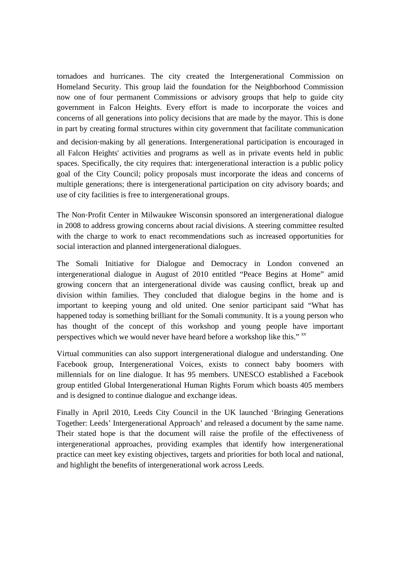tornadoes and hurricanes. The city created the Intergenerational Commission on Homeland Security. This group laid the foundation for the Neighborhood Commission now one of four permanent Commissions or advisory groups that help to guide city government in Falcon Heights. Every effort is made to incorporate the voices and concerns of all generations into policy decisions that are made by the mayor. This is done in part by creating formal structures within city government that facilitate communication

and decision‐making by all generations. Intergenerational participation is encouraged in all Falcon Heights' activities and programs as well as in private events held in public spaces. Specifically, the city requires that: intergenerational interaction is a public policy goal of the City Council; policy proposals must incorporate the ideas and concerns of multiple generations; there is intergenerational participation on city advisory boards; and use of city facilities is free to intergenerational groups.

The Non‐Profit Center in Milwaukee Wisconsin sponsored an intergenerational dialogue in 2008 to address growing concerns about racial divisions. A steering committee resulted with the charge to work to enact recommendations such as increased opportunities for social interaction and planned intergenerational dialogues.

The Somali Initiative for Dialogue and Democracy in London convened an intergenerational dialogue in August of 2010 entitled "Peace Begins at Home" amid growing concern that an intergenerational divide was causing conflict, break up and division within families. They concluded that dialogue begins in the home and is important to keeping young and old united. One senior participant said "What has happened today is something brilliant for the Somali community. It is a young person who has thought of the concept of this workshop and young people have important perspectives which we would never have heard before a workshop like this." <sup>xv</sup>

Virtual communities can also support intergenerational dialogue and understanding. One Facebook group, Intergenerational Voices, exists to connect baby boomers with millennials for on line dialogue. It has 95 members. UNESCO established a Facebook group entitled Global Intergenerational Human Rights Forum which boasts 405 members and is designed to continue dialogue and exchange ideas.

Finally in April 2010, Leeds City Council in the UK launched 'Bringing Generations Together: Leeds' Intergenerational Approach' and released a document by the same name. Their stated hope is that the document will raise the profile of the effectiveness of intergenerational approaches, providing examples that identify how intergenerational practice can meet key existing objectives, targets and priorities for both local and national, and highlight the benefits of intergenerational work across Leeds.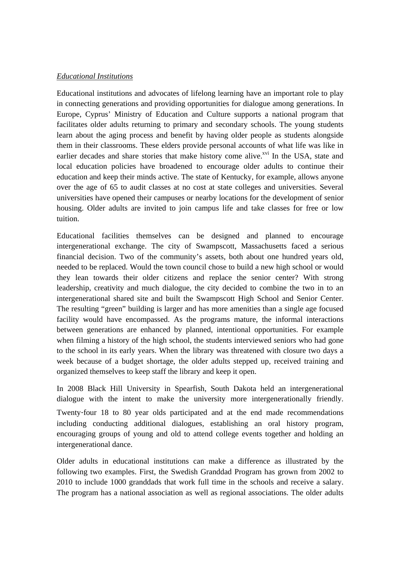#### *Educational Institutions*

Educational institutions and advocates of lifelong learning have an important role to play in connecting generations and providing opportunities for dialogue among generations. In Europe, Cyprus' Ministry of Education and Culture supports a national program that facilitates older adults returning to primary and secondary schools. The young students learn about the aging process and benefit by having older people as students alongside them in their classrooms. These elders provide personal accounts of what life was like in earlier decades and share stories that make history come alive.<sup>xvi</sup> In the USA, state and local education policies have broadened to encourage older adults to continue their education and keep their minds active. The state of Kentucky, for example, allows anyone over the age of 65 to audit classes at no cost at state colleges and universities. Several universities have opened their campuses or nearby locations for the development of senior housing. Older adults are invited to join campus life and take classes for free or low tuition.

Educational facilities themselves can be designed and planned to encourage intergenerational exchange. The city of Swampscott, Massachusetts faced a serious financial decision. Two of the community's assets, both about one hundred years old, needed to be replaced. Would the town council chose to build a new high school or would they lean towards their older citizens and replace the senior center? With strong leadership, creativity and much dialogue, the city decided to combine the two in to an intergenerational shared site and built the Swampscott High School and Senior Center. The resulting "green" building is larger and has more amenities than a single age focused facility would have encompassed. As the programs mature, the informal interactions between generations are enhanced by planned, intentional opportunities. For example when filming a history of the high school, the students interviewed seniors who had gone to the school in its early years. When the library was threatened with closure two days a week because of a budget shortage, the older adults stepped up, received training and organized themselves to keep staff the library and keep it open.

In 2008 Black Hill University in Spearfish, South Dakota held an intergenerational dialogue with the intent to make the university more intergenerationally friendly.

Twenty-four 18 to 80 year olds participated and at the end made recommendations including conducting additional dialogues, establishing an oral history program, encouraging groups of young and old to attend college events together and holding an intergenerational dance.

Older adults in educational institutions can make a difference as illustrated by the following two examples. First, the Swedish Granddad Program has grown from 2002 to 2010 to include 1000 granddads that work full time in the schools and receive a salary. The program has a national association as well as regional associations. The older adults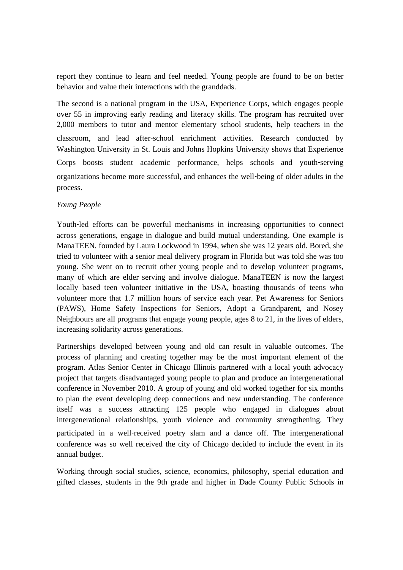report they continue to learn and feel needed. Young people are found to be on better behavior and value their interactions with the granddads.

The second is a national program in the USA, Experience Corps, which engages people over 55 in improving early reading and literacy skills. The program has recruited over 2,000 members to tutor and mentor elementary school students, help teachers in the classroom, and lead after‐school enrichment activities. Research conducted by Washington University in St. Louis and Johns Hopkins University shows that Experience Corps boosts student academic performance, helps schools and youth‐serving organizations become more successful, and enhances the well‐being of older adults in the process.

#### *Young People*

Youth-led efforts can be powerful mechanisms in increasing opportunities to connect across generations, engage in dialogue and build mutual understanding. One example is ManaTEEN, founded by Laura Lockwood in 1994, when she was 12 years old. Bored, she tried to volunteer with a senior meal delivery program in Florida but was told she was too young. She went on to recruit other young people and to develop volunteer programs, many of which are elder serving and involve dialogue. ManaTEEN is now the largest locally based teen volunteer initiative in the USA, boasting thousands of teens who volunteer more that 1.7 million hours of service each year. Pet Awareness for Seniors (PAWS), Home Safety Inspections for Seniors, Adopt a Grandparent, and Nosey Neighbours are all programs that engage young people, ages 8 to 21, in the lives of elders, increasing solidarity across generations.

Partnerships developed between young and old can result in valuable outcomes. The process of planning and creating together may be the most important element of the program. Atlas Senior Center in Chicago Illinois partnered with a local youth advocacy project that targets disadvantaged young people to plan and produce an intergenerational conference in November 2010. A group of young and old worked together for six months to plan the event developing deep connections and new understanding. The conference itself was a success attracting 125 people who engaged in dialogues about intergenerational relationships, youth violence and community strengthening. They participated in a well‐received poetry slam and a dance off. The intergenerational conference was so well received the city of Chicago decided to include the event in its annual budget.

Working through social studies, science, economics, philosophy, special education and gifted classes, students in the 9th grade and higher in Dade County Public Schools in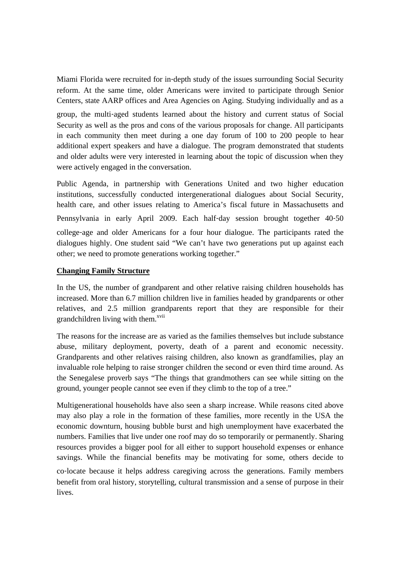Miami Florida were recruited for in‐depth study of the issues surrounding Social Security reform. At the same time, older Americans were invited to participate through Senior Centers, state AARP offices and Area Agencies on Aging. Studying individually and as a group, the multi‐aged students learned about the history and current status of Social Security as well as the pros and cons of the various proposals for change. All participants in each community then meet during a one day forum of 100 to 200 people to hear additional expert speakers and have a dialogue. The program demonstrated that students and older adults were very interested in learning about the topic of discussion when they were actively engaged in the conversation.

Public Agenda, in partnership with Generations United and two higher education institutions, successfully conducted intergenerational dialogues about Social Security, health care, and other issues relating to America's fiscal future in Massachusetts and Pennsylvania in early April 2009. Each half‐day session brought together 40‐50 college‐age and older Americans for a four hour dialogue. The participants rated the dialogues highly. One student said "We can't have two generations put up against each other; we need to promote generations working together."

#### **Changing Family Structure**

In the US, the number of grandparent and other relative raising children households has increased. More than 6.7 million children live in families headed by grandparents or other relatives, and 2.5 million grandparents report that they are responsible for their grandchildren living with them.<sup>xvii</sup>

The reasons for the increase are as varied as the families themselves but include substance abuse, military deployment, poverty, death of a parent and economic necessity. Grandparents and other relatives raising children, also known as grandfamilies, play an invaluable role helping to raise stronger children the second or even third time around. As the Senegalese proverb says "The things that grandmothers can see while sitting on the ground, younger people cannot see even if they climb to the top of a tree."

Multigenerational households have also seen a sharp increase. While reasons cited above may also play a role in the formation of these families, more recently in the USA the economic downturn, housing bubble burst and high unemployment have exacerbated the numbers. Families that live under one roof may do so temporarily or permanently. Sharing resources provides a bigger pool for all either to support household expenses or enhance savings. While the financial benefits may be motivating for some, others decide to co‐locate because it helps address caregiving across the generations. Family members benefit from oral history, storytelling, cultural transmission and a sense of purpose in their lives.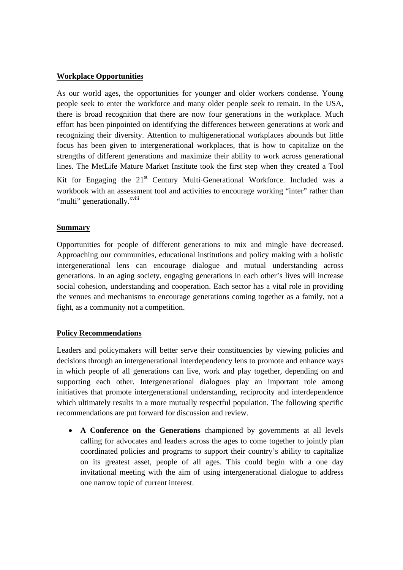### **Workplace Opportunities**

As our world ages, the opportunities for younger and older workers condense. Young people seek to enter the workforce and many older people seek to remain. In the USA, there is broad recognition that there are now four generations in the workplace. Much effort has been pinpointed on identifying the differences between generations at work and recognizing their diversity. Attention to multigenerational workplaces abounds but little focus has been given to intergenerational workplaces, that is how to capitalize on the strengths of different generations and maximize their ability to work across generational lines. The MetLife Mature Market Institute took the first step when they created a Tool Kit for Engaging the  $21<sup>st</sup>$  Century Multi-Generational Workforce. Included was a workbook with an assessment tool and activities to encourage working "inter" rather than "multi" generationally.<sup>xviii</sup>

#### **Summary**

Opportunities for people of different generations to mix and mingle have decreased. Approaching our communities, educational institutions and policy making with a holistic intergenerational lens can encourage dialogue and mutual understanding across generations. In an aging society, engaging generations in each other's lives will increase social cohesion, understanding and cooperation. Each sector has a vital role in providing the venues and mechanisms to encourage generations coming together as a family, not a fight, as a community not a competition.

#### **Policy Recommendations**

Leaders and policymakers will better serve their constituencies by viewing policies and decisions through an intergenerational interdependency lens to promote and enhance ways in which people of all generations can live, work and play together, depending on and supporting each other. Intergenerational dialogues play an important role among initiatives that promote intergenerational understanding, reciprocity and interdependence which ultimately results in a more mutually respectful population. The following specific recommendations are put forward for discussion and review.

• **A Conference on the Generations** championed by governments at all levels calling for advocates and leaders across the ages to come together to jointly plan coordinated policies and programs to support their country's ability to capitalize on its greatest asset, people of all ages. This could begin with a one day invitational meeting with the aim of using intergenerational dialogue to address one narrow topic of current interest.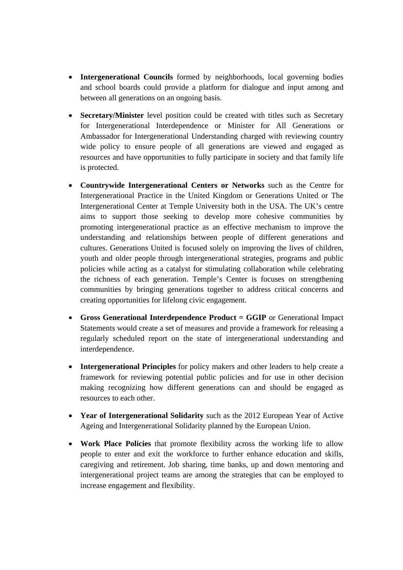- **Intergenerational Councils** formed by neighborhoods, local governing bodies and school boards could provide a platform for dialogue and input among and between all generations on an ongoing basis.
- **Secretary/Minister** level position could be created with titles such as Secretary for Intergenerational Interdependence or Minister for All Generations or Ambassador for Intergenerational Understanding charged with reviewing country wide policy to ensure people of all generations are viewed and engaged as resources and have opportunities to fully participate in society and that family life is protected.
- **Countrywide Intergenerational Centers or Networks** such as the Centre for Intergenerational Practice in the United Kingdom or Generations United or The Intergenerational Center at Temple University both in the USA. The UK's centre aims to support those seeking to develop more cohesive communities by promoting intergenerational practice as an effective mechanism to improve the understanding and relationships between people of different generations and cultures. Generations United is focused solely on improving the lives of children, youth and older people through intergenerational strategies, programs and public policies while acting as a catalyst for stimulating collaboration while celebrating the richness of each generation. Temple's Center is focuses on strengthening communities by bringing generations together to address critical concerns and creating opportunities for lifelong civic engagement.
- **Gross Generational Interdependence Product = GGIP** or Generational Impact Statements would create a set of measures and provide a framework for releasing a regularly scheduled report on the state of intergenerational understanding and interdependence.
- **Intergenerational Principles** for policy makers and other leaders to help create a framework for reviewing potential public policies and for use in other decision making recognizing how different generations can and should be engaged as resources to each other.
- **Year of Intergenerational Solidarity** such as the 2012 European Year of Active Ageing and Intergenerational Solidarity planned by the European Union.
- **Work Place Policies** that promote flexibility across the working life to allow people to enter and exit the workforce to further enhance education and skills, caregiving and retirement. Job sharing, time banks, up and down mentoring and intergenerational project teams are among the strategies that can be employed to increase engagement and flexibility.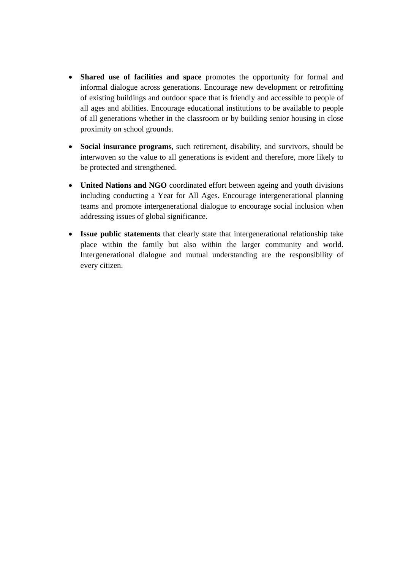- **Shared use of facilities and space** promotes the opportunity for formal and informal dialogue across generations. Encourage new development or retrofitting of existing buildings and outdoor space that is friendly and accessible to people of all ages and abilities. Encourage educational institutions to be available to people of all generations whether in the classroom or by building senior housing in close proximity on school grounds.
- **Social insurance programs**, such retirement, disability, and survivors, should be interwoven so the value to all generations is evident and therefore, more likely to be protected and strengthened.
- **United Nations and NGO** coordinated effort between ageing and youth divisions including conducting a Year for All Ages. Encourage intergenerational planning teams and promote intergenerational dialogue to encourage social inclusion when addressing issues of global significance.
- **Issue public statements** that clearly state that intergenerational relationship take place within the family but also within the larger community and world. Intergenerational dialogue and mutual understanding are the responsibility of every citizen.